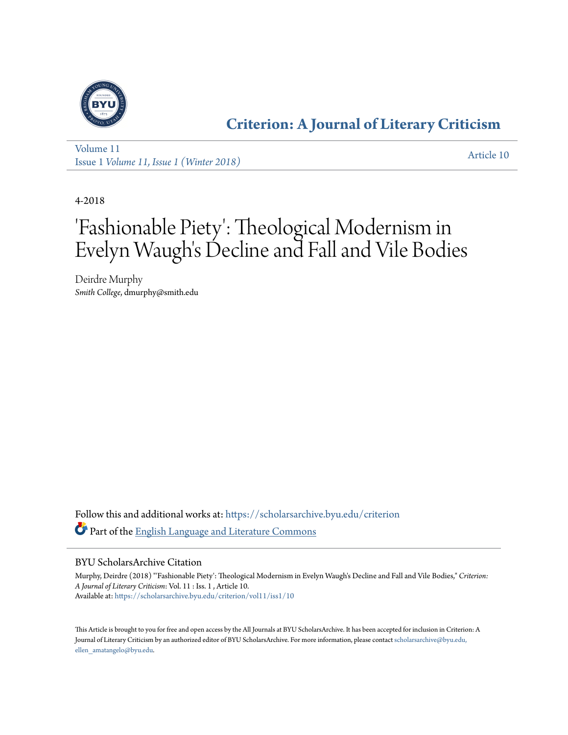

### **[Criterion: A Journal of Literary Criticism](https://scholarsarchive.byu.edu/criterion?utm_source=scholarsarchive.byu.edu%2Fcriterion%2Fvol11%2Fiss1%2F10&utm_medium=PDF&utm_campaign=PDFCoverPages)**

[Volume 11](https://scholarsarchive.byu.edu/criterion/vol11?utm_source=scholarsarchive.byu.edu%2Fcriterion%2Fvol11%2Fiss1%2F10&utm_medium=PDF&utm_campaign=PDFCoverPages) Issue 1 *[Volume 11, Issue 1 \(Winter 2018\)](https://scholarsarchive.byu.edu/criterion/vol11/iss1?utm_source=scholarsarchive.byu.edu%2Fcriterion%2Fvol11%2Fiss1%2F10&utm_medium=PDF&utm_campaign=PDFCoverPages)* [Article 10](https://scholarsarchive.byu.edu/criterion/vol11/iss1/10?utm_source=scholarsarchive.byu.edu%2Fcriterion%2Fvol11%2Fiss1%2F10&utm_medium=PDF&utm_campaign=PDFCoverPages)

4-2018

## 'Fashionable Piety': Theological Modernism in Evelyn Waugh's Decline and Fall and Vile Bodies

Deirdre Murphy *Smith College*, dmurphy@smith.edu

Follow this and additional works at: [https://scholarsarchive.byu.edu/criterion](https://scholarsarchive.byu.edu/criterion?utm_source=scholarsarchive.byu.edu%2Fcriterion%2Fvol11%2Fiss1%2F10&utm_medium=PDF&utm_campaign=PDFCoverPages) Part of the [English Language and Literature Commons](http://network.bepress.com/hgg/discipline/455?utm_source=scholarsarchive.byu.edu%2Fcriterion%2Fvol11%2Fiss1%2F10&utm_medium=PDF&utm_campaign=PDFCoverPages)

#### BYU ScholarsArchive Citation

Murphy, Deirdre (2018) "'Fashionable Piety': Theological Modernism in Evelyn Waugh's Decline and Fall and Vile Bodies," *Criterion: A Journal of Literary Criticism*: Vol. 11 : Iss. 1 , Article 10. Available at: [https://scholarsarchive.byu.edu/criterion/vol11/iss1/10](https://scholarsarchive.byu.edu/criterion/vol11/iss1/10?utm_source=scholarsarchive.byu.edu%2Fcriterion%2Fvol11%2Fiss1%2F10&utm_medium=PDF&utm_campaign=PDFCoverPages)

This Article is brought to you for free and open access by the All Journals at BYU ScholarsArchive. It has been accepted for inclusion in Criterion: A Journal of Literary Criticism by an authorized editor of BYU ScholarsArchive. For more information, please contact [scholarsarchive@byu.edu,](mailto:scholarsarchive@byu.edu,%20ellen_amatangelo@byu.edu) [ellen\\_amatangelo@byu.edu.](mailto:scholarsarchive@byu.edu,%20ellen_amatangelo@byu.edu)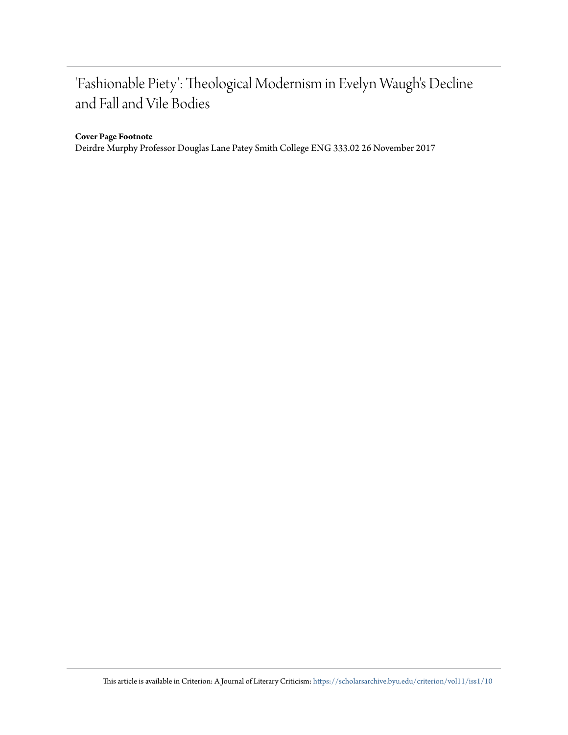## 'Fashionable Piety': Theological Modernism in Evelyn Waugh's Decline and Fall and Vile Bodies

#### **Cover Page Footnote**

Deirdre Murphy Professor Douglas Lane Patey Smith College ENG 333.02 26 November 2017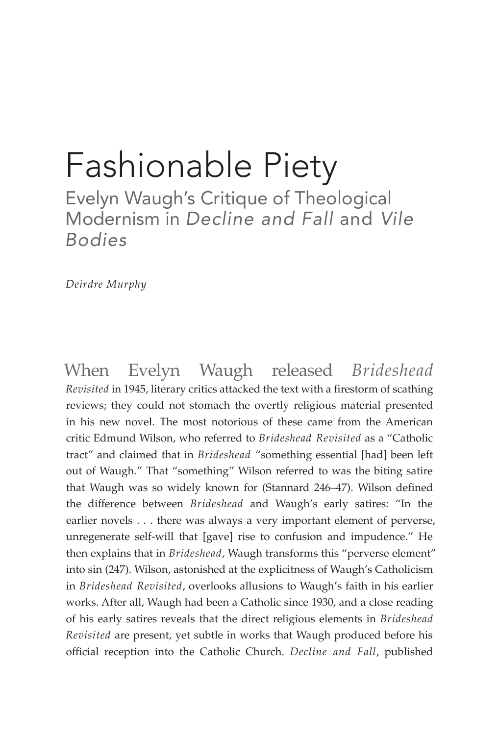# Fashionable Piety

Evelyn Waugh's Critique of Theological Modernism in *Decline and Fall* and *Vile Bodies*

*Deirdre Murphy*

When Evelyn Waugh released *Brideshead Revisited* in 1945, literary critics attacked the text with a firestorm of scathing reviews; they could not stomach the overtly religious material presented in his new novel. The most notorious of these came from the American critic Edmund Wilson, who referred to *Brideshead Revisited* as a "Catholic tract" and claimed that in *Brideshead* "something essential [had] been left out of Waugh." That "something" Wilson referred to was the biting satire that Waugh was so widely known for (Stannard 246–47). Wilson defined the difference between *Brideshead* and Waugh's early satires: "In the earlier novels . . . there was always a very important element of perverse, unregenerate self-will that [gave] rise to confusion and impudence." He then explains that in *Brideshead*, Waugh transforms this "perverse element" into sin (247). Wilson, astonished at the explicitness of Waugh's Catholicism in *Brideshead Revisited*, overlooks allusions to Waugh's faith in his earlier works. After all, Waugh had been a Catholic since 1930, and a close reading of his early satires reveals that the direct religious elements in *Brideshead Revisited* are present, yet subtle in works that Waugh produced before his official reception into the Catholic Church. *Decline and Fall*, published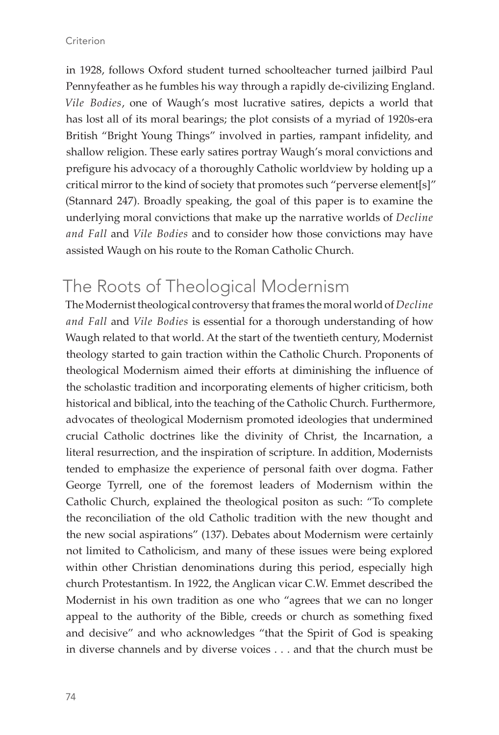in 1928, follows Oxford student turned schoolteacher turned jailbird Paul Pennyfeather as he fumbles his way through a rapidly de-civilizing England. *Vile Bodies*, one of Waugh's most lucrative satires, depicts a world that has lost all of its moral bearings; the plot consists of a myriad of 1920s-era British "Bright Young Things" involved in parties, rampant infidelity, and shallow religion. These early satires portray Waugh's moral convictions and prefigure his advocacy of a thoroughly Catholic worldview by holding up a critical mirror to the kind of society that promotes such "perverse element[s]" (Stannard 247). Broadly speaking, the goal of this paper is to examine the underlying moral convictions that make up the narrative worlds of *Decline and Fall* and *Vile Bodies* and to consider how those convictions may have assisted Waugh on his route to the Roman Catholic Church.

## The Roots of Theological Modernism

The Modernist theological controversy that frames the moral world of *Decline and Fall* and *Vile Bodies* is essential for a thorough understanding of how Waugh related to that world. At the start of the twentieth century, Modernist theology started to gain traction within the Catholic Church. Proponents of theological Modernism aimed their efforts at diminishing the influence of the scholastic tradition and incorporating elements of higher criticism, both historical and biblical, into the teaching of the Catholic Church. Furthermore, advocates of theological Modernism promoted ideologies that undermined crucial Catholic doctrines like the divinity of Christ, the Incarnation, a literal resurrection, and the inspiration of scripture. In addition, Modernists tended to emphasize the experience of personal faith over dogma. Father George Tyrrell, one of the foremost leaders of Modernism within the Catholic Church, explained the theological positon as such: "To complete the reconciliation of the old Catholic tradition with the new thought and the new social aspirations" (137). Debates about Modernism were certainly not limited to Catholicism, and many of these issues were being explored within other Christian denominations during this period, especially high church Protestantism. In 1922, the Anglican vicar C.W. Emmet described the Modernist in his own tradition as one who "agrees that we can no longer appeal to the authority of the Bible, creeds or church as something fixed and decisive" and who acknowledges "that the Spirit of God is speaking in diverse channels and by diverse voices . . . and that the church must be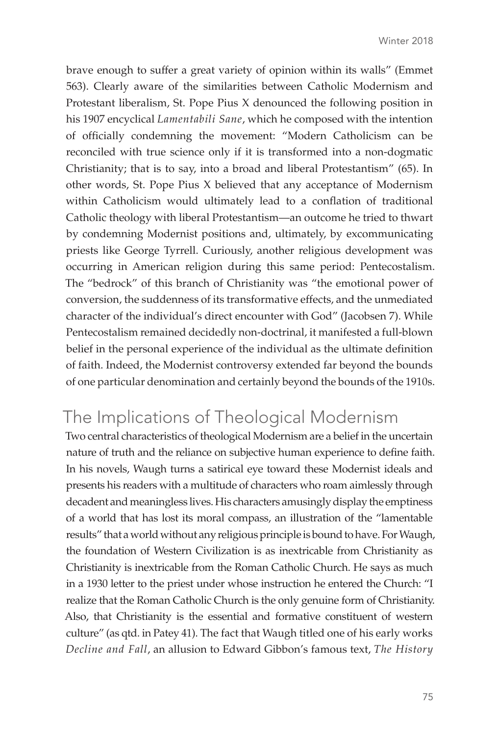brave enough to suffer a great variety of opinion within its walls" (Emmet 563). Clearly aware of the similarities between Catholic Modernism and Protestant liberalism, St. Pope Pius X denounced the following position in his 1907 encyclical *Lamentabili Sane*, which he composed with the intention of officially condemning the movement: "Modern Catholicism can be reconciled with true science only if it is transformed into a non-dogmatic Christianity; that is to say, into a broad and liberal Protestantism" (65). In other words, St. Pope Pius X believed that any acceptance of Modernism within Catholicism would ultimately lead to a conflation of traditional Catholic theology with liberal Protestantism—an outcome he tried to thwart by condemning Modernist positions and, ultimately, by excommunicating priests like George Tyrrell. Curiously, another religious development was occurring in American religion during this same period: Pentecostalism. The "bedrock" of this branch of Christianity was "the emotional power of conversion, the suddenness of its transformative effects, and the unmediated character of the individual's direct encounter with God" (Jacobsen 7). While Pentecostalism remained decidedly non-doctrinal, it manifested a full-blown belief in the personal experience of the individual as the ultimate definition of faith. Indeed, the Modernist controversy extended far beyond the bounds of one particular denomination and certainly beyond the bounds of the 1910s.

#### The Implications of Theological Modernism

Two central characteristics of theological Modernism are a belief in the uncertain nature of truth and the reliance on subjective human experience to define faith. In his novels, Waugh turns a satirical eye toward these Modernist ideals and presents his readers with a multitude of characters who roam aimlessly through decadent and meaningless lives. His characters amusingly display the emptiness of a world that has lost its moral compass, an illustration of the "lamentable results" that a world without any religious principle is bound to have. For Waugh, the foundation of Western Civilization is as inextricable from Christianity as Christianity is inextricable from the Roman Catholic Church. He says as much in a 1930 letter to the priest under whose instruction he entered the Church: "I realize that the Roman Catholic Church is the only genuine form of Christianity. Also, that Christianity is the essential and formative constituent of western culture" (as qtd. in Patey 41). The fact that Waugh titled one of his early works *Decline and Fall*, an allusion to Edward Gibbon's famous text, *The History*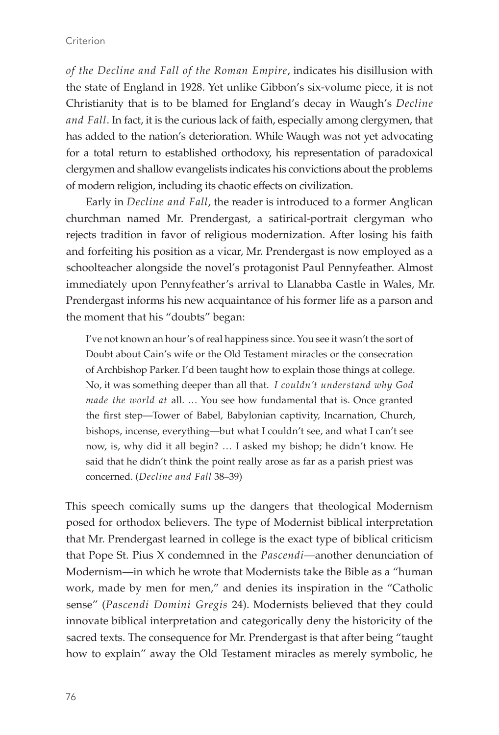*of the Decline and Fall of the Roman Empire*, indicates his disillusion with the state of England in 1928. Yet unlike Gibbon's six-volume piece, it is not Christianity that is to be blamed for England's decay in Waugh's *Decline and Fall*. In fact, it is the curious lack of faith, especially among clergymen, that has added to the nation's deterioration. While Waugh was not yet advocating for a total return to established orthodoxy, his representation of paradoxical clergymen and shallow evangelists indicates his convictions about the problems of modern religion, including its chaotic effects on civilization.

Early in *Decline and Fall*, the reader is introduced to a former Anglican churchman named Mr. Prendergast, a satirical-portrait clergyman who rejects tradition in favor of religious modernization. After losing his faith and forfeiting his position as a vicar, Mr. Prendergast is now employed as a schoolteacher alongside the novel's protagonist Paul Pennyfeather. Almost immediately upon Pennyfeather's arrival to Llanabba Castle in Wales, Mr. Prendergast informs his new acquaintance of his former life as a parson and the moment that his "doubts" began:

I've not known an hour's of real happiness since. You see it wasn't the sort of Doubt about Cain's wife or the Old Testament miracles or the consecration of Archbishop Parker. I'd been taught how to explain those things at college. No, it was something deeper than all that. *I couldn't understand why God made the world at* all. … You see how fundamental that is. Once granted the first step—Tower of Babel, Babylonian captivity, Incarnation, Church, bishops, incense, everything—but what I couldn't see, and what I can't see now, is, why did it all begin? … I asked my bishop; he didn't know. He said that he didn't think the point really arose as far as a parish priest was concerned. (*Decline and Fall* 38–39)

This speech comically sums up the dangers that theological Modernism posed for orthodox believers. The type of Modernist biblical interpretation that Mr. Prendergast learned in college is the exact type of biblical criticism that Pope St. Pius X condemned in the *Pascendi*—another denunciation of Modernism—in which he wrote that Modernists take the Bible as a "human work, made by men for men," and denies its inspiration in the "Catholic sense" (*Pascendi Domini Gregis* 24). Modernists believed that they could innovate biblical interpretation and categorically deny the historicity of the sacred texts. The consequence for Mr. Prendergast is that after being "taught how to explain" away the Old Testament miracles as merely symbolic, he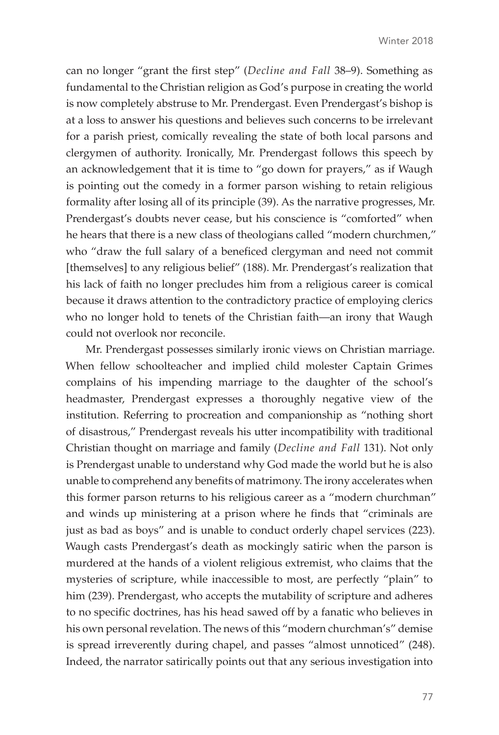can no longer "grant the first step" (*Decline and Fall* 38–9). Something as fundamental to the Christian religion as God's purpose in creating the world is now completely abstruse to Mr. Prendergast. Even Prendergast's bishop is at a loss to answer his questions and believes such concerns to be irrelevant for a parish priest, comically revealing the state of both local parsons and clergymen of authority. Ironically, Mr. Prendergast follows this speech by an acknowledgement that it is time to "go down for prayers," as if Waugh is pointing out the comedy in a former parson wishing to retain religious formality after losing all of its principle (39). As the narrative progresses, Mr. Prendergast's doubts never cease, but his conscience is "comforted" when he hears that there is a new class of theologians called "modern churchmen," who "draw the full salary of a beneficed clergyman and need not commit [themselves] to any religious belief" (188). Mr. Prendergast's realization that his lack of faith no longer precludes him from a religious career is comical because it draws attention to the contradictory practice of employing clerics who no longer hold to tenets of the Christian faith—an irony that Waugh could not overlook nor reconcile.

Mr. Prendergast possesses similarly ironic views on Christian marriage. When fellow schoolteacher and implied child molester Captain Grimes complains of his impending marriage to the daughter of the school's headmaster, Prendergast expresses a thoroughly negative view of the institution. Referring to procreation and companionship as "nothing short of disastrous," Prendergast reveals his utter incompatibility with traditional Christian thought on marriage and family (*Decline and Fall* 131). Not only is Prendergast unable to understand why God made the world but he is also unable to comprehend any benefits of matrimony. The irony accelerates when this former parson returns to his religious career as a "modern churchman" and winds up ministering at a prison where he finds that "criminals are just as bad as boys" and is unable to conduct orderly chapel services (223). Waugh casts Prendergast's death as mockingly satiric when the parson is murdered at the hands of a violent religious extremist, who claims that the mysteries of scripture, while inaccessible to most, are perfectly "plain" to him (239). Prendergast, who accepts the mutability of scripture and adheres to no specific doctrines, has his head sawed off by a fanatic who believes in his own personal revelation. The news of this "modern churchman's" demise is spread irreverently during chapel, and passes "almost unnoticed" (248). Indeed, the narrator satirically points out that any serious investigation into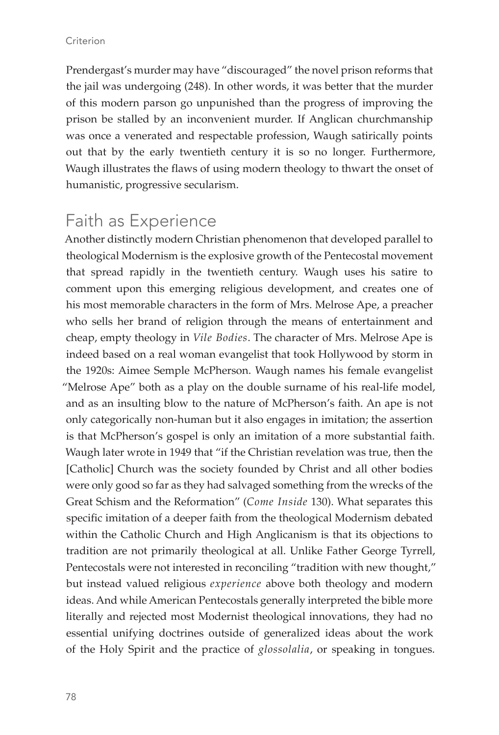Prendergast's murder may have "discouraged" the novel prison reforms that the jail was undergoing (248). In other words, it was better that the murder of this modern parson go unpunished than the progress of improving the prison be stalled by an inconvenient murder. If Anglican churchmanship was once a venerated and respectable profession, Waugh satirically points out that by the early twentieth century it is so no longer. Furthermore, Waugh illustrates the flaws of using modern theology to thwart the onset of humanistic, progressive secularism.

#### Faith as Experience

Another distinctly modern Christian phenomenon that developed parallel to theological Modernism is the explosive growth of the Pentecostal movement that spread rapidly in the twentieth century. Waugh uses his satire to comment upon this emerging religious development, and creates one of his most memorable characters in the form of Mrs. Melrose Ape, a preacher who sells her brand of religion through the means of entertainment and cheap, empty theology in *Vile Bodies*. The character of Mrs. Melrose Ape is indeed based on a real woman evangelist that took Hollywood by storm in the 1920s: Aimee Semple McPherson. Waugh names his female evangelist "Melrose Ape" both as a play on the double surname of his real-life model, and as an insulting blow to the nature of McPherson's faith. An ape is not only categorically non-human but it also engages in imitation; the assertion is that McPherson's gospel is only an imitation of a more substantial faith. Waugh later wrote in 1949 that "if the Christian revelation was true, then the [Catholic] Church was the society founded by Christ and all other bodies were only good so far as they had salvaged something from the wrecks of the Great Schism and the Reformation" (*Come Inside* 130). What separates this specific imitation of a deeper faith from the theological Modernism debated within the Catholic Church and High Anglicanism is that its objections to tradition are not primarily theological at all. Unlike Father George Tyrrell, Pentecostals were not interested in reconciling "tradition with new thought," but instead valued religious *experience* above both theology and modern ideas. And while American Pentecostals generally interpreted the bible more literally and rejected most Modernist theological innovations, they had no essential unifying doctrines outside of generalized ideas about the work of the Holy Spirit and the practice of *glossolalia*, or speaking in tongues.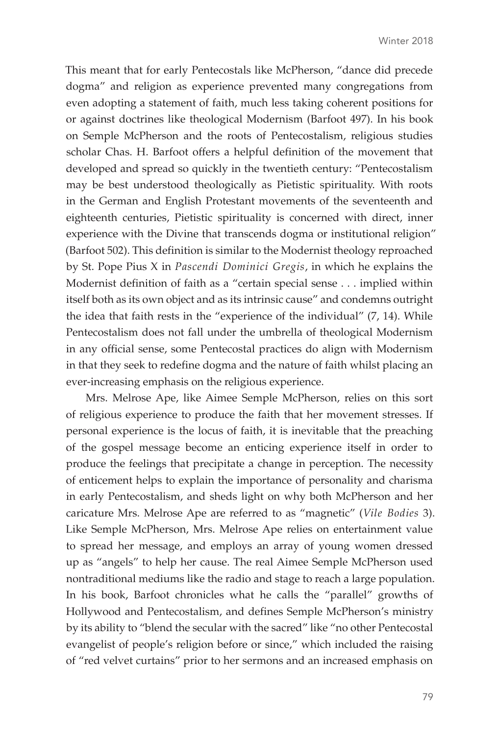This meant that for early Pentecostals like McPherson, "dance did precede dogma" and religion as experience prevented many congregations from even adopting a statement of faith, much less taking coherent positions for or against doctrines like theological Modernism (Barfoot 497). In his book on Semple McPherson and the roots of Pentecostalism, religious studies scholar Chas. H. Barfoot offers a helpful definition of the movement that developed and spread so quickly in the twentieth century: "Pentecostalism may be best understood theologically as Pietistic spirituality. With roots in the German and English Protestant movements of the seventeenth and eighteenth centuries, Pietistic spirituality is concerned with direct, inner experience with the Divine that transcends dogma or institutional religion" (Barfoot 502). This definition is similar to the Modernist theology reproached by St. Pope Pius X in *Pascendi Dominici Gregis*, in which he explains the Modernist definition of faith as a "certain special sense . . . implied within itself both as its own object and as its intrinsic cause" and condemns outright the idea that faith rests in the "experience of the individual" (7, 14). While Pentecostalism does not fall under the umbrella of theological Modernism in any official sense, some Pentecostal practices do align with Modernism in that they seek to redefine dogma and the nature of faith whilst placing an ever-increasing emphasis on the religious experience.

Mrs. Melrose Ape, like Aimee Semple McPherson, relies on this sort of religious experience to produce the faith that her movement stresses. If personal experience is the locus of faith, it is inevitable that the preaching of the gospel message become an enticing experience itself in order to produce the feelings that precipitate a change in perception. The necessity of enticement helps to explain the importance of personality and charisma in early Pentecostalism, and sheds light on why both McPherson and her caricature Mrs. Melrose Ape are referred to as "magnetic" (*Vile Bodies* 3). Like Semple McPherson, Mrs. Melrose Ape relies on entertainment value to spread her message, and employs an array of young women dressed up as "angels" to help her cause. The real Aimee Semple McPherson used nontraditional mediums like the radio and stage to reach a large population. In his book, Barfoot chronicles what he calls the "parallel" growths of Hollywood and Pentecostalism, and defines Semple McPherson's ministry by its ability to "blend the secular with the sacred" like "no other Pentecostal evangelist of people's religion before or since," which included the raising of "red velvet curtains" prior to her sermons and an increased emphasis on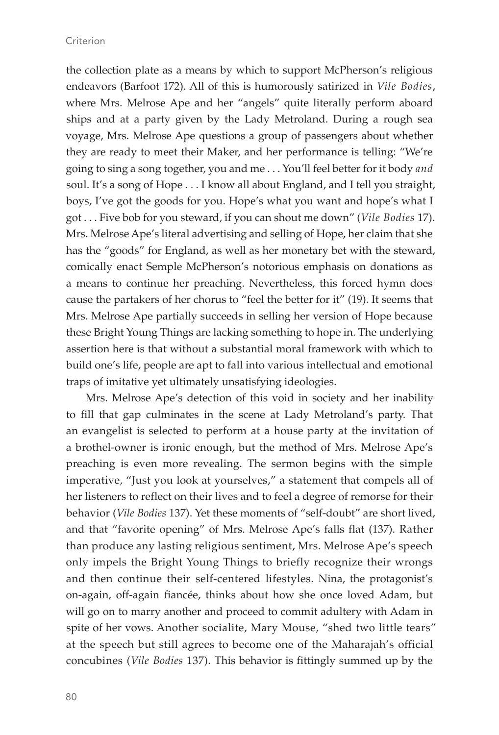#### **Criterion**

the collection plate as a means by which to support McPherson's religious endeavors (Barfoot 172). All of this is humorously satirized in *Vile Bodies*, where Mrs. Melrose Ape and her "angels" quite literally perform aboard ships and at a party given by the Lady Metroland. During a rough sea voyage, Mrs. Melrose Ape questions a group of passengers about whether they are ready to meet their Maker, and her performance is telling: "We're going to sing a song together, you and me . . . You'll feel better for it body *and*  soul. It's a song of Hope . . . I know all about England, and I tell you straight, boys, I've got the goods for you. Hope's what you want and hope's what I got . . . Five bob for you steward, if you can shout me down" (*Vile Bodies* 17). Mrs. Melrose Ape's literal advertising and selling of Hope, her claim that she has the "goods" for England, as well as her monetary bet with the steward, comically enact Semple McPherson's notorious emphasis on donations as a means to continue her preaching. Nevertheless, this forced hymn does cause the partakers of her chorus to "feel the better for it" (19). It seems that Mrs. Melrose Ape partially succeeds in selling her version of Hope because these Bright Young Things are lacking something to hope in. The underlying assertion here is that without a substantial moral framework with which to build one's life, people are apt to fall into various intellectual and emotional traps of imitative yet ultimately unsatisfying ideologies.

Mrs. Melrose Ape's detection of this void in society and her inability to fill that gap culminates in the scene at Lady Metroland's party. That an evangelist is selected to perform at a house party at the invitation of a brothel-owner is ironic enough, but the method of Mrs. Melrose Ape's preaching is even more revealing. The sermon begins with the simple imperative, "Just you look at yourselves," a statement that compels all of her listeners to reflect on their lives and to feel a degree of remorse for their behavior (*Vile Bodies* 137). Yet these moments of "self-doubt" are short lived, and that "favorite opening" of Mrs. Melrose Ape's falls flat (137). Rather than produce any lasting religious sentiment, Mrs. Melrose Ape's speech only impels the Bright Young Things to briefly recognize their wrongs and then continue their self-centered lifestyles. Nina, the protagonist's on-again, off-again fiancée, thinks about how she once loved Adam, but will go on to marry another and proceed to commit adultery with Adam in spite of her vows. Another socialite, Mary Mouse, "shed two little tears" at the speech but still agrees to become one of the Maharajah's official concubines (*Vile Bodies* 137). This behavior is fittingly summed up by the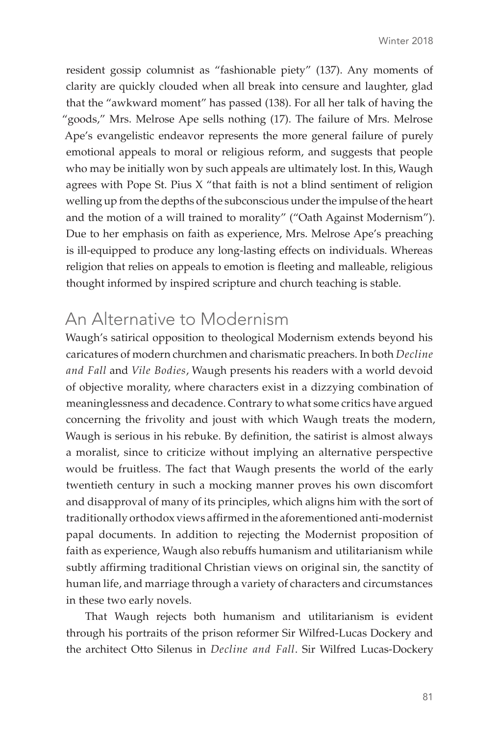resident gossip columnist as "fashionable piety" (137). Any moments of clarity are quickly clouded when all break into censure and laughter, glad that the "awkward moment" has passed (138). For all her talk of having the "goods," Mrs. Melrose Ape sells nothing (17). The failure of Mrs. Melrose Ape's evangelistic endeavor represents the more general failure of purely emotional appeals to moral or religious reform, and suggests that people who may be initially won by such appeals are ultimately lost. In this, Waugh agrees with Pope St. Pius X "that faith is not a blind sentiment of religion welling up from the depths of the subconscious under the impulse of the heart and the motion of a will trained to morality" ("Oath Against Modernism"). Due to her emphasis on faith as experience, Mrs. Melrose Ape's preaching is ill-equipped to produce any long-lasting effects on individuals. Whereas religion that relies on appeals to emotion is fleeting and malleable, religious thought informed by inspired scripture and church teaching is stable.

#### An Alternative to Modernism

Waugh's satirical opposition to theological Modernism extends beyond his caricatures of modern churchmen and charismatic preachers. In both *Decline and Fall* and *Vile Bodies*, Waugh presents his readers with a world devoid of objective morality, where characters exist in a dizzying combination of meaninglessness and decadence. Contrary to what some critics have argued concerning the frivolity and joust with which Waugh treats the modern, Waugh is serious in his rebuke. By definition, the satirist is almost always a moralist, since to criticize without implying an alternative perspective would be fruitless. The fact that Waugh presents the world of the early twentieth century in such a mocking manner proves his own discomfort and disapproval of many of its principles, which aligns him with the sort of traditionally orthodox views affirmed in the aforementioned anti-modernist papal documents. In addition to rejecting the Modernist proposition of faith as experience, Waugh also rebuffs humanism and utilitarianism while subtly affirming traditional Christian views on original sin, the sanctity of human life, and marriage through a variety of characters and circumstances in these two early novels.

That Waugh rejects both humanism and utilitarianism is evident through his portraits of the prison reformer Sir Wilfred-Lucas Dockery and the architect Otto Silenus in *Decline and Fall*. Sir Wilfred Lucas-Dockery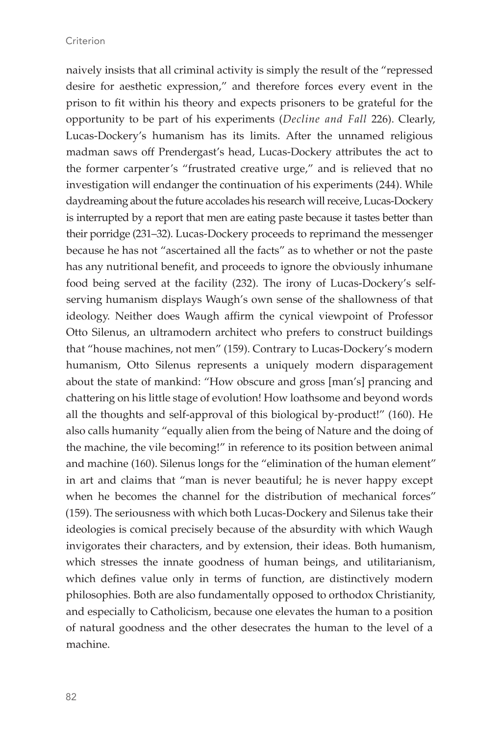naively insists that all criminal activity is simply the result of the "repressed desire for aesthetic expression," and therefore forces every event in the prison to fit within his theory and expects prisoners to be grateful for the opportunity to be part of his experiments (*Decline and Fall* 226). Clearly, Lucas-Dockery's humanism has its limits. After the unnamed religious madman saws off Prendergast's head, Lucas-Dockery attributes the act to the former carpenter's "frustrated creative urge," and is relieved that no investigation will endanger the continuation of his experiments (244). While daydreaming about the future accolades his research will receive, Lucas-Dockery is interrupted by a report that men are eating paste because it tastes better than their porridge (231–32). Lucas-Dockery proceeds to reprimand the messenger because he has not "ascertained all the facts" as to whether or not the paste has any nutritional benefit, and proceeds to ignore the obviously inhumane food being served at the facility (232). The irony of Lucas-Dockery's selfserving humanism displays Waugh's own sense of the shallowness of that ideology. Neither does Waugh affirm the cynical viewpoint of Professor Otto Silenus, an ultramodern architect who prefers to construct buildings that "house machines, not men" (159). Contrary to Lucas-Dockery's modern humanism, Otto Silenus represents a uniquely modern disparagement about the state of mankind: "How obscure and gross [man's] prancing and chattering on his little stage of evolution! How loathsome and beyond words all the thoughts and self-approval of this biological by-product!" (160). He also calls humanity "equally alien from the being of Nature and the doing of the machine, the vile becoming!" in reference to its position between animal and machine (160). Silenus longs for the "elimination of the human element" in art and claims that "man is never beautiful; he is never happy except when he becomes the channel for the distribution of mechanical forces" (159). The seriousness with which both Lucas-Dockery and Silenus take their ideologies is comical precisely because of the absurdity with which Waugh invigorates their characters, and by extension, their ideas. Both humanism, which stresses the innate goodness of human beings, and utilitarianism, which defines value only in terms of function, are distinctively modern philosophies. Both are also fundamentally opposed to orthodox Christianity, and especially to Catholicism, because one elevates the human to a position of natural goodness and the other desecrates the human to the level of a machine.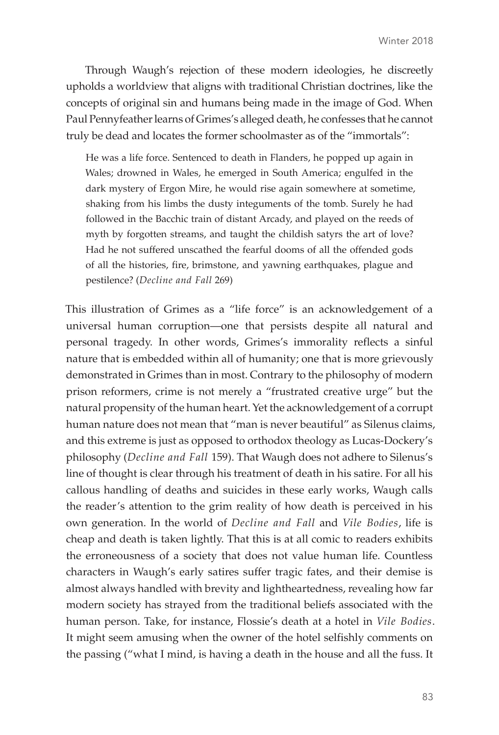Through Waugh's rejection of these modern ideologies, he discreetly upholds a worldview that aligns with traditional Christian doctrines, like the concepts of original sin and humans being made in the image of God. When Paul Pennyfeather learns of Grimes's alleged death, he confesses that he cannot truly be dead and locates the former schoolmaster as of the "immortals":

He was a life force. Sentenced to death in Flanders, he popped up again in Wales; drowned in Wales, he emerged in South America; engulfed in the dark mystery of Ergon Mire, he would rise again somewhere at sometime, shaking from his limbs the dusty integuments of the tomb. Surely he had followed in the Bacchic train of distant Arcady, and played on the reeds of myth by forgotten streams, and taught the childish satyrs the art of love? Had he not suffered unscathed the fearful dooms of all the offended gods of all the histories, fire, brimstone, and yawning earthquakes, plague and pestilence? (*Decline and Fall* 269)

This illustration of Grimes as a "life force" is an acknowledgement of a universal human corruption—one that persists despite all natural and personal tragedy. In other words, Grimes's immorality reflects a sinful nature that is embedded within all of humanity; one that is more grievously demonstrated in Grimes than in most. Contrary to the philosophy of modern prison reformers, crime is not merely a "frustrated creative urge" but the natural propensity of the human heart. Yet the acknowledgement of a corrupt human nature does not mean that "man is never beautiful" as Silenus claims, and this extreme is just as opposed to orthodox theology as Lucas-Dockery's philosophy (*Decline and Fall* 159). That Waugh does not adhere to Silenus's line of thought is clear through his treatment of death in his satire. For all his callous handling of deaths and suicides in these early works, Waugh calls the reader's attention to the grim reality of how death is perceived in his own generation. In the world of *Decline and Fall* and *Vile Bodies*, life is cheap and death is taken lightly. That this is at all comic to readers exhibits the erroneousness of a society that does not value human life. Countless characters in Waugh's early satires suffer tragic fates, and their demise is almost always handled with brevity and lightheartedness, revealing how far modern society has strayed from the traditional beliefs associated with the human person. Take, for instance, Flossie's death at a hotel in *Vile Bodies*. It might seem amusing when the owner of the hotel selfishly comments on the passing ("what I mind, is having a death in the house and all the fuss. It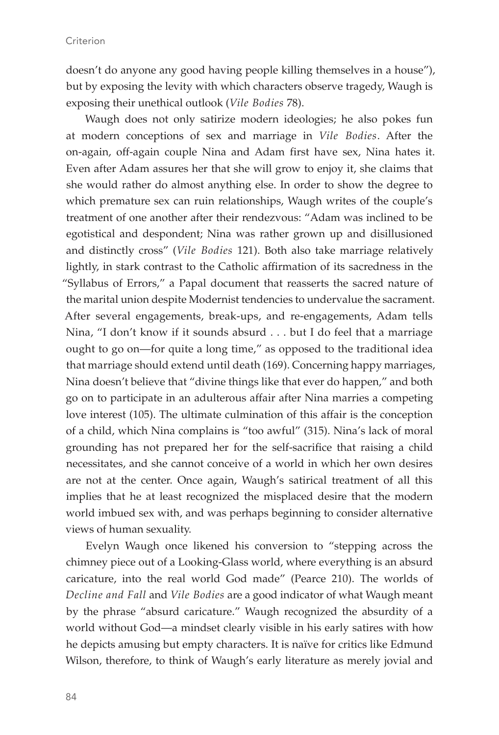doesn't do anyone any good having people killing themselves in a house"), but by exposing the levity with which characters observe tragedy, Waugh is exposing their unethical outlook (*Vile Bodies* 78).

Waugh does not only satirize modern ideologies; he also pokes fun at modern conceptions of sex and marriage in *Vile Bodies*. After the on-again, off-again couple Nina and Adam first have sex, Nina hates it. Even after Adam assures her that she will grow to enjoy it, she claims that she would rather do almost anything else. In order to show the degree to which premature sex can ruin relationships, Waugh writes of the couple's treatment of one another after their rendezvous: "Adam was inclined to be egotistical and despondent; Nina was rather grown up and disillusioned and distinctly cross" (*Vile Bodies* 121). Both also take marriage relatively lightly, in stark contrast to the Catholic affirmation of its sacredness in the "Syllabus of Errors," a Papal document that reasserts the sacred nature of the marital union despite Modernist tendencies to undervalue the sacrament. After several engagements, break-ups, and re-engagements, Adam tells Nina, "I don't know if it sounds absurd . . . but I do feel that a marriage ought to go on—for quite a long time," as opposed to the traditional idea that marriage should extend until death (169). Concerning happy marriages, Nina doesn't believe that "divine things like that ever do happen," and both go on to participate in an adulterous affair after Nina marries a competing love interest (105). The ultimate culmination of this affair is the conception of a child, which Nina complains is "too awful" (315). Nina's lack of moral grounding has not prepared her for the self-sacrifice that raising a child necessitates, and she cannot conceive of a world in which her own desires are not at the center. Once again, Waugh's satirical treatment of all this implies that he at least recognized the misplaced desire that the modern world imbued sex with, and was perhaps beginning to consider alternative views of human sexuality.

Evelyn Waugh once likened his conversion to "stepping across the chimney piece out of a Looking-Glass world, where everything is an absurd caricature, into the real world God made" (Pearce 210). The worlds of *Decline and Fall* and *Vile Bodies* are a good indicator of what Waugh meant by the phrase "absurd caricature." Waugh recognized the absurdity of a world without God—a mindset clearly visible in his early satires with how he depicts amusing but empty characters. It is naïve for critics like Edmund Wilson, therefore, to think of Waugh's early literature as merely jovial and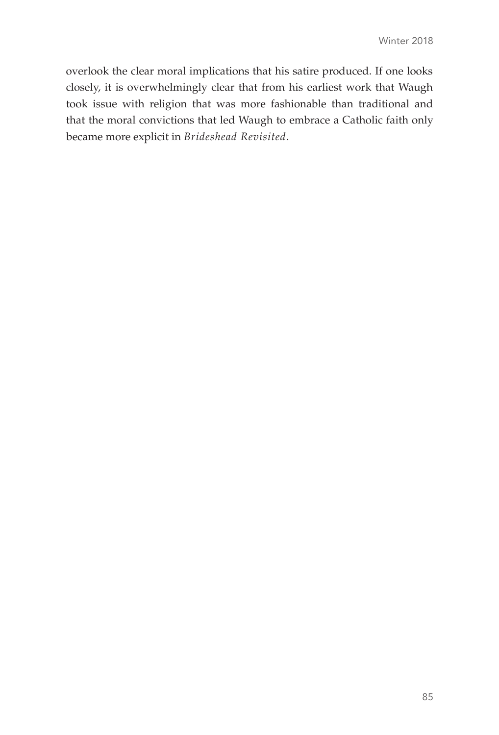overlook the clear moral implications that his satire produced. If one looks closely, it is overwhelmingly clear that from his earliest work that Waugh took issue with religion that was more fashionable than traditional and that the moral convictions that led Waugh to embrace a Catholic faith only became more explicit in *Brideshead Revisited*.